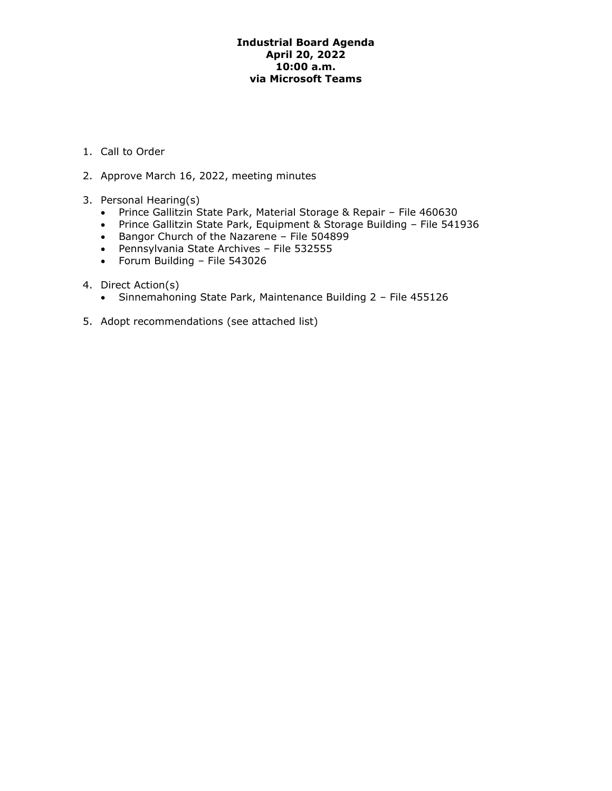## **Industrial Board Agenda April 20, 2022 10:00 a.m. via Microsoft Teams**

- 1. Call to Order
- 2. Approve March 16, 2022, meeting minutes
- 3. Personal Hearing(s)
	- Prince Gallitzin State Park, Material Storage & Repair File 460630
	- Prince Gallitzin State Park, Equipment & Storage Building File 541936
	- Bangor Church of the Nazarene File 504899
	- Pennsylvania State Archives File 532555
	- Forum Building File 543026
- 4. Direct Action(s)
	- Sinnemahoning State Park, Maintenance Building 2 File 455126
- 5. Adopt recommendations (see attached list)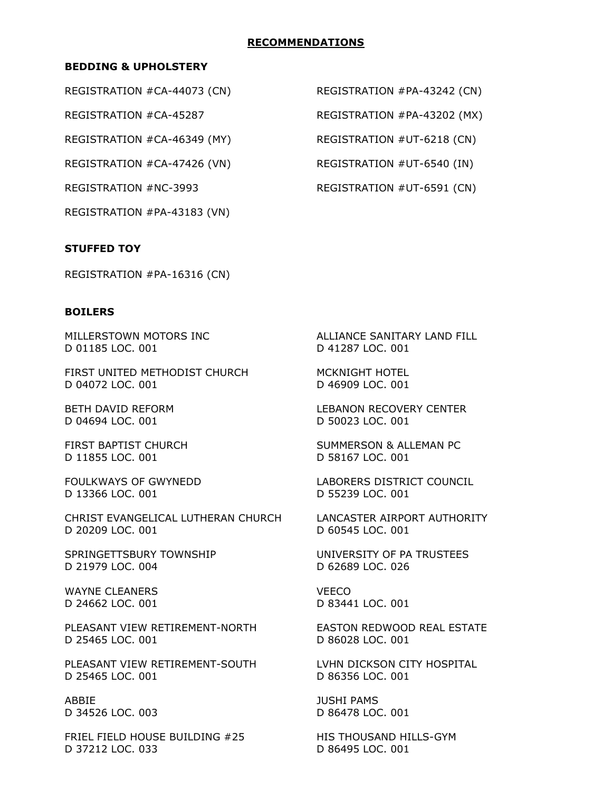## **RECOMMENDATIONS**

## **BEDDING & UPHOLSTERY**

REGISTRATION #CA-46349 (MY) REGISTRATION #UT-6218 (CN)

REGISTRATION #CA-47426 (VN) REGISTRATION #UT-6540 (IN)

REGISTRATION #PA-43183 (VN)

### **STUFFED TOY**

REGISTRATION #PA-16316 (CN)

#### **BOILERS**

D 01185 LOC. 001 D 41287 LOC. 001

FIRST UNITED METHODIST CHURCH MCKNIGHT HOTEL D 04072 LOC. 001 D 46909 LOC. 001

D 04694 LOC. 001 D 50023 LOC. 001

D 11855 LOC. 001 D 58167 LOC. 001

D 13366 LOC. 001 D 55239 LOC. 001

CHRIST EVANGELICAL LUTHERAN CHURCH LANCASTER AIRPORT AUTHORITY D 20209 LOC. 001 D 60545 LOC. 001

SPRINGETTSBURY TOWNSHIP UNIVERSITY OF PA TRUSTEES D 21979 LOC. 004 D 62689 LOC. 026

WAYNE CLEANERS VEECO D 24662 LOC. 001 D 83441 LOC. 001

PLEASANT VIEW RETIREMENT-NORTH EASTON REDWOOD REAL ESTATE D 25465 LOC. 001 D 86028 LOC. 001

PLEASANT VIEW RETIREMENT-SOUTH LVHN DICKSON CITY HOSPITAL D 25465 LOC. 001 D 86356 LOC. 001

ABBIE JUSHI PAMS D 34526 LOC. 003 D 86478 LOC. 001

FRIEL FIELD HOUSE BUILDING #25 HIS THOUSAND HILLS-GYM D 37212 LOC. 033 D 86495 LOC. 001

REGISTRATION #CA-44073 (CN) REGISTRATION #PA-43242 (CN)

REGISTRATION #CA-45287 REGISTRATION #PA-43202 (MX)

REGISTRATION #NC-3993 REGISTRATION #UT-6591 (CN)

MILLERSTOWN MOTORS INC ALLIANCE SANITARY LAND FILL

BETH DAVID REFORM LEBANON RECOVERY CENTER

FIRST BAPTIST CHURCH SUMMERSON & ALLEMAN PC

FOULKWAYS OF GWYNEDD LABORERS DISTRICT COUNCIL